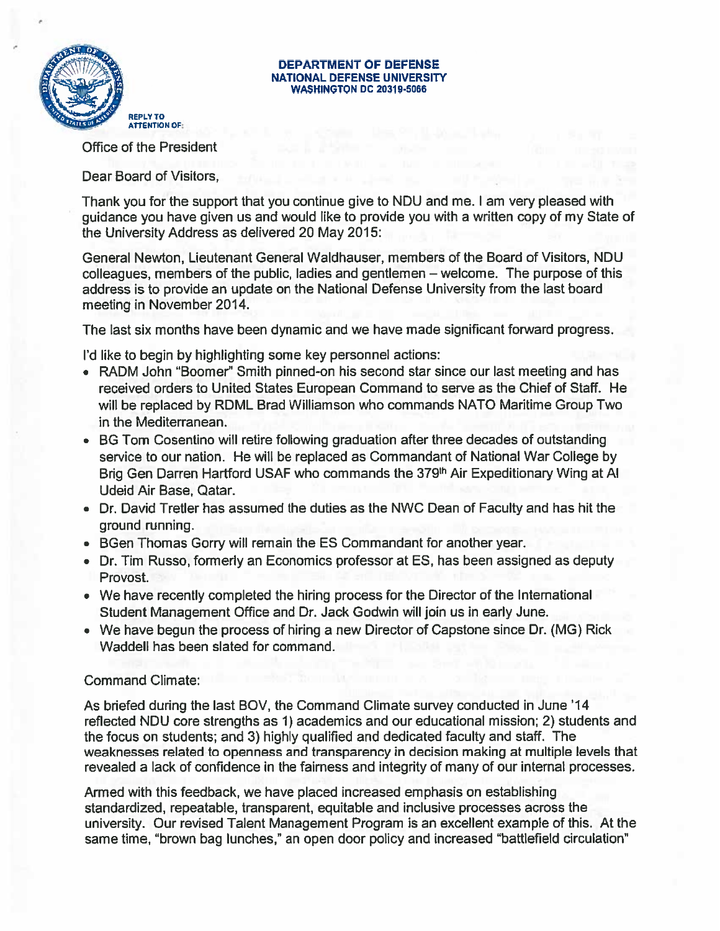

# **DEPARTMENT OF DEFENSE<br>NATIONAL DEFENSE UNIVERSITY**

Office of the President

Dear Board of Visitors,

Thank you for the support that you continue give to NDU and me. <sup>I</sup> am very pleased with guidance you have given us and would like to provide you with a written copy of my State of the University Address as delivered 20 May 2015:

General Newton, Lieutenant General Waldhauser, members of the Board of Visitors, NDU colleagues, members of the public, ladies and gentlemen — welcome. The purpose of this address is to provide an update on the National Defense University from the last board meeting in November 2014.

The last six months have been dynamic and we have made significant forward progress.

I'd like to begin by highlighting some key personnel actions:

- RADM John "Boomer" Smith pinned-on his second star since our last meeting and has received orders to United States European Command to serve as the Chief of Staff. He will be replaced by RDML Brad Williamson who commands NATO Maritime Group Two in the Mediterranean.
- BG Tom Cosentino will retire following graduation after three decades of outstanding service to our nation. He will be replaced as Commandant of National War College by Brig Gen Darren Hartford USAF who commands the 379<sup>th</sup> Air Expeditionary Wing at Al Udeid Air Base, Qatar.
- Dr. David Tretler has assumed the duties as the NWC Dean of Faculty and has hit the ground running.
- BGen Thomas Gorry will remain the ES Commandant for another year.
- Dr. Tim Russo, formerly an Economics professor at ES, has been assigned as deputy Provost.
- We have recently completed the hiring process for the Director of the International Student Management Office and Dr. Jack Godwin will join us in early June.
- We have begun the process of hiring a new Director of Capstone since Dr. (MG) Rick Waddell has been slated for command.

## Command Climate:

As briefed during the last BOy, the Command Climate survey conducted in June'14 reflected NDU core strengths as 1) academics and our educational mission; 2) students and the focus on students; and 3) highly qualified and dedicated faculty and staff. The weaknesses related to openness and transparency in decision making at multiple levels that revealed a lack of confidence in the fairness and integrity of many of our internal processes.

Armed with this feedback, we have placed increased emphasis on establishing standardized, repeatable, transparent, equitable and inclusive processes across the university. Our revised Talent Management Program is an excellent example of this. At the same time, "brown bag lunches," an open door policy and increased "battlefield circulation"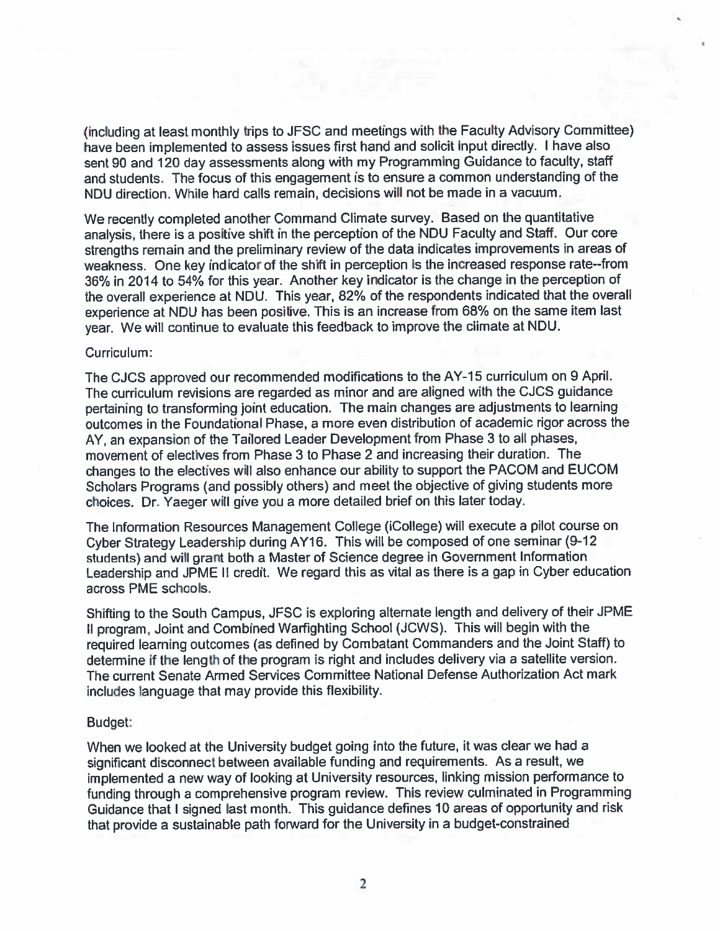(including at least monthly trips to JFSC and meetings with the Faculty Advisory Committee) have been implemented to assess issues first hand and solicit input directly. <sup>I</sup> have also sent 90 and 120 day assessments along with my Programming Guidance to faculty, staff and students. The focus of this engagement is to ensure a common understanding of the NDU direction. While hard calls remain, decisions will not be made in a vacuum.

We recently completed another Command Climate survey. Based on the quantitative analysis, there is a positive shift in the perception of the NDU Faculty and Staff. Our core strengths remain and the preliminary review of the data indicates improvements in areas of weakness. One key indicator of the shift in perception is the increased response rate--from 36% in 2014 to 54% for this year. Another key indicator is the change in the perception of the overall experience at NDU. This year, 82% of the respondents indicated that the overall experience at NDU has been positive. This is an increase from 68% on the same item last year. We will continue to evaluate this feedback to improve the climate at NDU.

## Curriculum:

The CJCS approved our recommended modifications to the AY-15 curriculum on 9 April. The curriculum revisions are regarded as minor and are aligned with the CJCS guidance pertaining to transforming joint education. The main changes are adjustments to learning outcomes in the Foundational Phase, a more even distribution of academic rigor across the AY, an expansion of the Tailored Leader Development from Phase <sup>3</sup> to all phases, movement of electives from Phase 3 to Phase 2 and increasing their duration. The changes to the electives will also enhance our ability to support the PACOM and EUCOM Scholars Programs (and possibly others) and meet the objective of giving students more choices. Dr. Yaeger will give you a more detailed brief on this later today.

The Information Resources Management College (iCollege) will execute a pilot course on Cyber Strategy Leadership during AY16. This will be composed of one seminar (9-12 students) and will grant both a Master of Science degree in Government Information Leadership and JPME II credit. We regard this as vital as there is a gap in Cyber education across PME schools.

Shifting to the South Campus, JFSC is exploring alternate length and delivery of their JPME II program, Joint and Combined Warfighting School (JCWS). This will begin with the required learning outcomes (as defined by Combatant Commanders and the Joint Staff) to determine if the length of the program is right and includes delivery via a satellite version. The current Senate Armed Services Committee National Defense Authorization Act mark includes language that may provide this flexibility.

## Budget:

When we looked at the University budget going into the future, it was clear we had a significant disconnect between available funding and requirements. As a result, we implemented a new way of looking at University resources, linking mission performance to funding through a comprehensive program review. This review culminated in Programming Guidance that <sup>I</sup> signed last month. This guidance defines 10 areas of opportunity and risk that provide a sustainable path forward for the University in a budget-constrained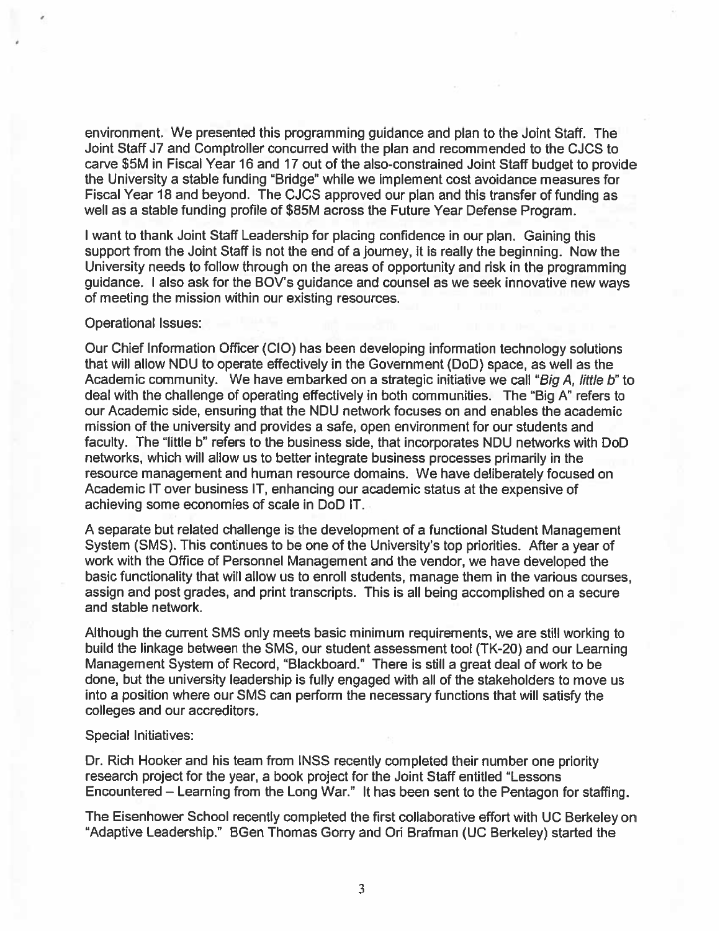environment. We presented this programming guidance and plan to the Joint Staff. The Joint Staff J7 and Comptroller concurred with the plan and recommended to the CJCS to carve \$5M in Fiscal Year 16 and 17 out of the also-constrained Joint Staff budget to provide the University a stable funding 'Bridge" while we implement cost avoidance measures for Fiscal Year 18 and beyond. The CJCS approved our plan and this transfer of funding as well as a stable funding profile of \$85M across the Future Year Defense Program.

<sup>I</sup> want to thank Joint Staff Leadership for placing confidence in our plan. Gaining this support from the Joint Staff is not the end of a journey, it is really the beginning. Now the University needs to follow through on the areas of opportunity and risk in the programming guidance. I also ask for the BOV's guidance and counsel as we seek innovative new ways of meeting the mission within our existing resources.

#### Operational Issues:

Our Chief Information Officer (CIO) has been developing information technology solutions that will allow NDU to operate effectively in the Government (DoD) space, as well as the Academic community. We have embarked on a strategic initiative we call "Big A, little b" to deal with the challenge of operating effectively in both communities. The "Big A" refers to our Academic side, ensuring that the NDU network focuses on and enables the academic mission of the university and provides a safe, open environment for our students and faculty. The "little b' refers to the business side, that incorporates NDU networks with DoD networks, which will allow us to better integrate business processes primarily in the resource management and human resource domains. We have deliberately focused on Academic IT over business IT, enhancing our academic status at the expensive of achieving some economies of scale in DoD IT.

A separate but related challenge is the development of a functional Student Management System (SMS). This continues to be one of the University's top priorities. After a year of work with the Office of Personnel Management and the vendor, we have developed the basic functionality that will allow us to enroll students, manage them in the various courses, assign and post grades, and print transcripts. This is all being accomplished on a secure and stable network.

Although the current SMS only meets basic minimum requirements, we are still working to build the linkage between the SMS, our student assessment tool (TK-20) and our Learning Management System of Record, "Blackboard." There is still a great deal of work to be done, but the university leadership is fully engaged with all of the stakeholders to move us into a position where our SMS can perform the necessary functions that will satisfy the colleges and our accreditors.

## Special Initiatives:

Dr. Rich Hooker and his team from INSS recently completed their number one priority research project for the year, a book project for the Joint Staff entitled "Lessons Encountered — Learning from the Long War." It has been sent to the Pentagon for staffing.

The Eisenhower School recently completed the first collaborative effort with UC Berkeley on "Adaptive Leadership." BGen Thomas Gorry and Ori Brafman (UC Berkeley) started the